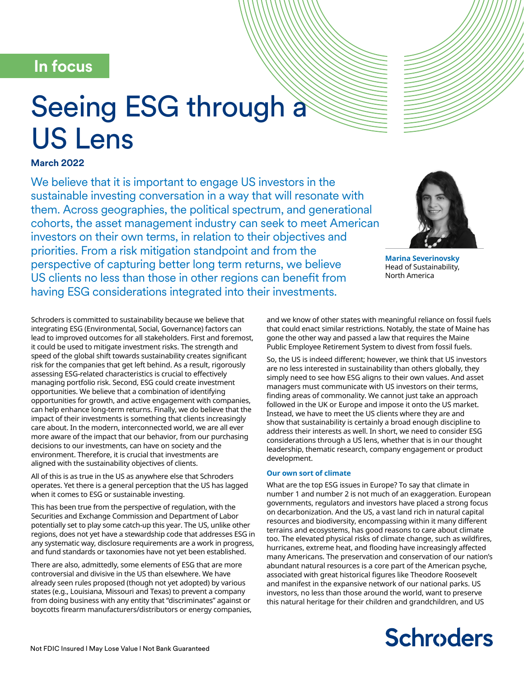### **In focus**

# Seeing ESG through a US Lens

#### **March 2022**

We believe that it is important to engage US investors in the sustainable investing conversation in a way that will resonate with them. Across geographies, the political spectrum, and generational cohorts, the asset management industry can seek to meet American investors on their own terms, in relation to their objectives and priorities. From a risk mitigation standpoint and from the perspective of capturing better long term returns, we believe US clients no less than those in other regions can benefit from having ESG considerations integrated into their investments.



**Marina Severinovsky** Head of Sustainability, North America

Schroders is committed to sustainability because we believe that integrating ESG (Environmental, Social, Governance) factors can lead to improved outcomes for all stakeholders. First and foremost, it could be used to mitigate investment risks. The strength and speed of the global shift towards sustainability creates significant risk for the companies that get left behind. As a result, rigorously assessing ESG-related characteristics is crucial to effectively managing portfolio risk. Second, ESG could create investment opportunities. We believe that a combination of identifying opportunities for growth, and active engagement with companies, can help enhance long-term returns. Finally, we do believe that the impact of their investments is something that clients increasingly care about. In the modern, interconnected world, we are all ever more aware of the impact that our behavior, from our purchasing decisions to our investments, can have on society and the environment. Therefore, it is crucial that investments are aligned with the sustainability objectives of clients.

All of this is as true in the US as anywhere else that Schroders operates. Yet there is a general perception that the US has lagged when it comes to ESG or sustainable investing.

This has been true from the perspective of regulation, with the Securities and Exchange Commission and Department of Labor potentially set to play some catch-up this year. The US, unlike other regions, does not yet have a stewardship code that addresses ESG in any systematic way, disclosure requirements are a work in progress, and fund standards or taxonomies have not yet been established.

There are also, admittedly, some elements of ESG that are more controversial and divisive in the US than elsewhere. We have already seen rules proposed (though not yet adopted) by various states (e.g., Louisiana, Missouri and Texas) to prevent a company from doing business with any entity that "discriminates" against or boycotts firearm manufacturers/distributors or energy companies,

and we know of other states with meaningful reliance on fossil fuels that could enact similar restrictions. Notably, the state of Maine has gone the other way and passed a law that requires the Maine Public Employee Retirement System to divest from fossil fuels.

So, the US is indeed different; however, we think that US investors are no less interested in sustainability than others globally, they simply need to see how ESG aligns to their own values. And asset managers must communicate with US investors on their terms, finding areas of commonality. We cannot just take an approach followed in the UK or Europe and impose it onto the US market. Instead, we have to meet the US clients where they are and show that sustainability is certainly a broad enough discipline to address their interests as well. In short, we need to consider ESG considerations through a US lens, whether that is in our thought leadership, thematic research, company engagement or product development.

#### **Our own sort of climate**

What are the top ESG issues in Europe? To say that climate in number 1 and number 2 is not much of an exaggeration. European governments, regulators and investors have placed a strong focus on decarbonization. And the US, a vast land rich in natural capital resources and biodiversity, encompassing within it many different terrains and ecosystems, has good reasons to care about climate too. The elevated physical risks of climate change, such as wildfires, hurricanes, extreme heat, and flooding have increasingly affected many Americans. The preservation and conservation of our nation's abundant natural resources is a core part of the American psyche, associated with great historical figures like Theodore Roosevelt and manifest in the expansive network of our national parks. US investors, no less than those around the world, want to preserve this natural heritage for their children and grandchildren, and US

## **Schroders**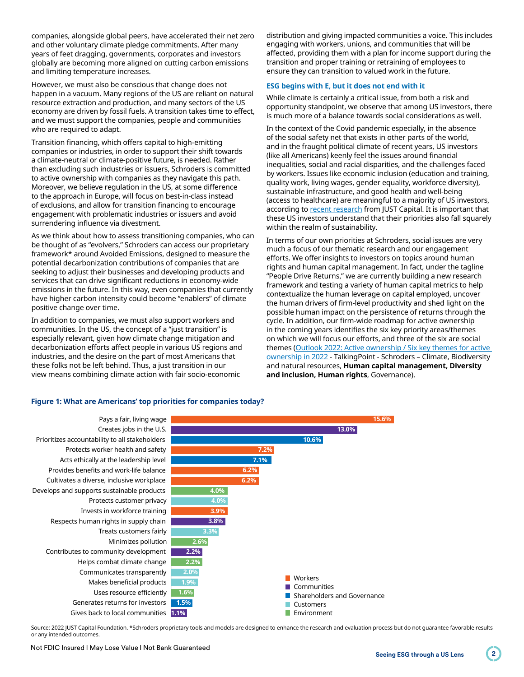companies, alongside global peers, have accelerated their net zero and other voluntary climate pledge commitments. After many years of feet dragging, governments, corporates and investors globally are becoming more aligned on cutting carbon emissions and limiting temperature increases.

However, we must also be conscious that change does not happen in a vacuum. Many regions of the US are reliant on natural resource extraction and production, and many sectors of the US economy are driven by fossil fuels. A transition takes time to effect, and we must support the companies, people and communities who are required to adapt.

Transition financing, which offers capital to high-emitting companies or industries, in order to support their shift towards a climate-neutral or climate-positive future, is needed. Rather than excluding such industries or issuers, Schroders is committed to active ownership with companies as they navigate this path. Moreover, we believe regulation in the US, at some difference to the approach in Europe, will focus on best-in-class instead of exclusions, and allow for transition financing to encourage engagement with problematic industries or issuers and avoid surrendering influence via divestment.

As we think about how to assess transitioning companies, who can be thought of as "evolvers," Schroders can access our proprietary framework\* around Avoided Emissions, designed to measure the potential decarbonization contributions of companies that are seeking to adjust their businesses and developing products and services that can drive significant reductions in economy-wide emissions in the future. In this way, even companies that currently have higher carbon intensity could become "enablers" of climate positive change over time.

In addition to companies, we must also support workers and communities. In the US, the concept of a "just transition" is especially relevant, given how climate change mitigation and decarbonization efforts affect people in various US regions and industries, and the desire on the part of most Americans that these folks not be left behind. Thus, a just transition in our view means combining climate action with fair socio-economic

distribution and giving impacted communities a voice. This includes engaging with workers, unions, and communities that will be affected, providing them with a plan for income support during the transition and proper training or retraining of employees to ensure they can transition to valued work in the future.

#### **ESG begins with E, but it does not end with it**

While climate is certainly a critical issue, from both a risk and opportunity standpoint, we observe that among US investors, there is much more of a balance towards social considerations as well.

In the context of the Covid pandemic especially, in the absence of the social safety net that exists in other parts of the world, and in the fraught political climate of recent years, US investors (like all Americans) keenly feel the issues around financial inequalities, social and racial disparities, and the challenges faced by workers. Issues like economic inclusion (education and training, quality work, living wages, gender equality, workforce diversity), sustainable infrastructure, and good health and well-being (access to healthcare) are meaningful to a majority of US investors, according to [recent research](https://justcapital.com/reports/survey-analysis-in-great-resignation-americans-are-united-in-wanting-action-on-wages-and-jobs-and-accountability-from-corporate-america/) from JUST Capital. It is important that these US investors understand that their priorities also fall squarely within the realm of sustainability.

In terms of our own priorities at Schroders, social issues are very much a focus of our thematic research and our engagement efforts. We offer insights to investors on topics around human rights and human capital management. In fact, under the tagline "People Drive Returns," we are currently building a new research framework and testing a variety of human capital metrics to help contextualize the human leverage on capital employed, uncover the human drivers of firm-level productivity and shed light on the possible human impact on the persistence of returns through the cycle. In addition, our firm-wide roadmap for active ownership in the coming years identifies the six key priority areas/themes on which we will focus our efforts, and three of the six are social themes (Outlook 2022: Active ownership / Six key themes for active ownership in 2022 - TalkingPoint - Schroders – Climate, Biodiversity and natural resources, **Human capital management, Diversity and inclusion, Human rights**, Governance).

#### **Figure 1: What are Americans' top priorities for companies today?**



Source: 2022 JUST Capital Foundation. \*Schroders proprietary tools and models are designed to enhance the research and evaluation process but do not quarantee favorable results or any intended outcomes.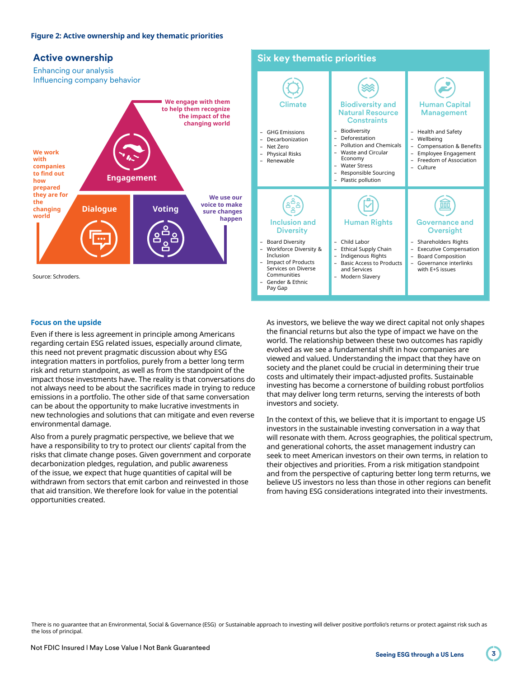#### **Figure 2: Active ownership and key thematic priorities**



#### **Focus on the upside**

Even if there is less agreement in principle among Americans regarding certain ESG related issues, especially around climate, this need not prevent pragmatic discussion about why ESG integration matters in portfolios, purely from a better long term risk and return standpoint, as well as from the standpoint of the impact those investments have. The reality is that conversations do not always need to be about the sacrifices made in trying to reduce emissions in a portfolio. The other side of that same conversation can be about the opportunity to make lucrative investments in new technologies and solutions that can mitigate and even reverse environmental damage.

Also from a purely pragmatic perspective, we believe that we have a responsibility to try to protect our clients' capital from the risks that climate change poses. Given government and corporate decarbonization pledges, regulation, and public awareness of the issue, we expect that huge quantities of capital will be withdrawn from sectors that emit carbon and reinvested in those that aid transition. We therefore look for value in the potential opportunities created.

As investors, we believe the way we direct capital not only shapes the financial returns but also the type of impact we have on the world. The relationship between these two outcomes has rapidly evolved as we see a fundamental shift in how companies are viewed and valued. Understanding the impact that they have on society and the planet could be crucial in determining their true costs and ultimately their impact-adjusted profits. Sustainable investing has become a cornerstone of building robust portfolios that may deliver long term returns, serving the interests of both investors and society.

In the context of this, we believe that it is important to engage US investors in the sustainable investing conversation in a way that will resonate with them. Across geographies, the political spectrum, and generational cohorts, the asset management industry can seek to meet American investors on their own terms, in relation to their objectives and priorities. From a risk mitigation standpoint and from the perspective of capturing better long term returns, we believe US investors no less than those in other regions can benefit from having ESG considerations integrated into their investments.

There is no guarantee that an Environmental, Social & Governance (ESG) or Sustainable approach to investing will deliver positive portfolio's returns or protect against risk such as the loss of principal.